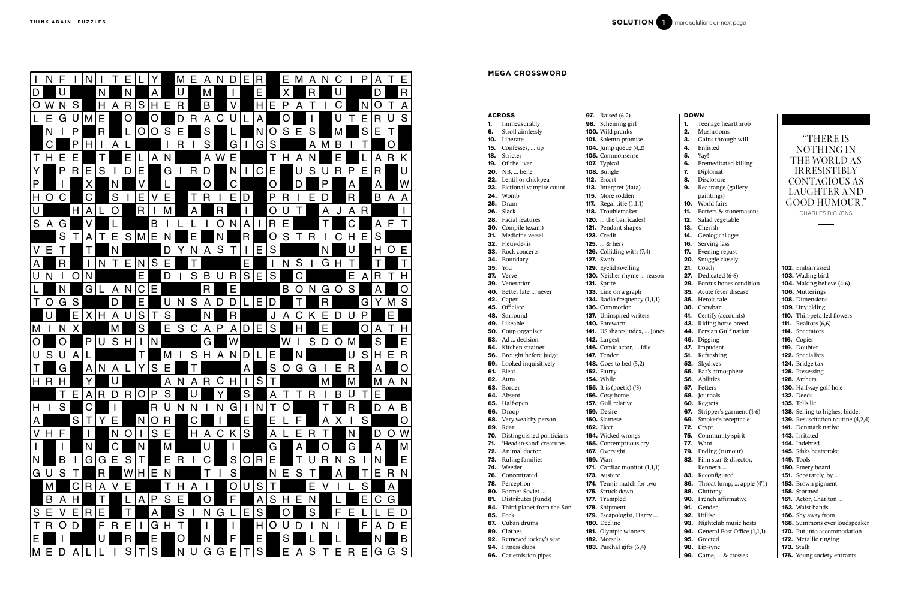- Siamese Eject Wicked wron Contemptuo **Oversight** Wan Cardiac mon Austere Tennis match Struck down 177. Trampled Shipment **Escapologist** Decline Olympic win
- Morsels Paschal gifts (6,4)
- 96. Car emission pipes

|     | <b>ACROSS</b>                    | <b>97.</b> Raised (6,2)    |
|-----|----------------------------------|----------------------------|
| 1.  | Immeasurably                     | <b>98.</b> Scheming g      |
| 6.  | Stroll aimlessly                 | <b>100.</b> Wild pranks    |
|     | <b>10.</b> Liberate              | 101. Solemn pro            |
|     | <b>15.</b> Confesses,  up        | 104. Jump queue            |
|     | 18. Stricter                     | 105. Commonser             |
|     | 19. Of the liver                 | 107. Typical               |
|     | <b>20.</b> NB,  bene             | 108. Bungle                |
|     | <b>22.</b> Lentil or chickpea    | 112. Escort                |
| 23. | Fictional vampire count          | <b>113.</b> Interpret (d.  |
| 24. | Womb                             | <b>115.</b> More sodde     |
| 25. | Dram                             | <b>117.</b> Regal title (  |
|     | 26. Slack                        | 118. Troublemak            |
|     | <b>28.</b> Facial features       | <b>120.</b> the barric     |
|     | 30. Compile (exam)               | <b>121.</b> Pendant sha    |
|     | 31. Medicine vessel              | <b>123.</b> Credit         |
|     | <b>32.</b> Fleur-de-lis          | <b>125.</b> & hers         |
|     | <b>33.</b> Rock concerts         | 126. Colliding w           |
|     | 34. Boundary                     | <b>127.</b> Swab           |
| 35. | You                              | 129. Eyelid swell          |
| 37. | Verve                            | 130. Neither rhy           |
|     | <b>39.</b> Veneration            | 131. Sprite                |
|     | 40. Better late  never           | 133. Line on a gr          |
|     | 42. Caper                        | 134. Radio frequ           |
|     | 45. Officiate                    | 136. Commotion             |
|     | <b>48.</b> Surround              | 137. Uninspired            |
|     | 49. Likeable                     | <b>140.</b> Forewarn       |
|     | <b>50.</b> Coup organiser        | <b>141.</b> US shares in   |
|     | 53. Ad  decision                 | <b>142.</b> Largest        |
|     | <b>54.</b> Kitchen strainer      | 146. Comic actor           |
|     | <b>56.</b> Brought before judge  | <b>147.</b> Tender         |
|     | <b>59.</b> Looked inquisitively  | 148. Goes to bed           |
|     | <b>61.</b> Bleat                 | <b>152. Flurry</b>         |
|     | <b>62.</b> Aura                  | <b>154.</b> While          |
|     | 63. Border                       | <b>155.</b> It is (poetic) |
|     | <b>64.</b> Absent                | 156. Cosy home             |
|     | 65. Half-open                    | <b>157.</b> Gull relative  |
|     | <b>66.</b> Droop                 | <b>159.</b> Desire         |
| 68. | Very wealthy person              | 160. Siamese               |
| 69. | Rear                             | <b>162.</b> Eject          |
| 70. | Distinguished politicians        | 164. Wicked wro            |
| 71. | 'Head-in-sand' creatures         | 165. Contemptue            |
| 72. | Animal doctor                    | 167. Oversight             |
| 73. | Ruling families                  | 169. Wan                   |
| 74. | Weeder                           | <b>171.</b> Cardiac mo     |
| 76. | Concentrated                     | <b>173.</b> Austere        |
| 78. | Perception                       | <b>174.</b> Tennis mate    |
| 80. | Former Soviet                    | 175. Struck down           |
| 81. | Distributes (funds)              | <b>177.</b> Trampled       |
| 84. | Third planet from the Sun        | 178. Shipment              |
| 85. | Peek                             | 179. Escapologis           |
| 87. | Cuban drums                      | <b>180.</b> Decline        |
| 89. | Clothes                          | 181. Olympic wii           |
|     | <b>92.</b> Removed jockey's seat | <b>182.</b> Morsels        |
|     | <b>94.</b> Fitness clubs         | 183. Paschal gift          |
|     |                                  |                            |

| Scheming girl           | 1.  | Teenage heartthrob           |
|-------------------------|-----|------------------------------|
| Wild pranks             | 2.  | Mushrooms                    |
| Solemn promise          | з.  | Gains through will           |
| Jump queue (4,2)        | 4.  | Enlisted                     |
| Commonsense             | 5.  | Yay!                         |
| Typical                 | 6.  | Premeditated killing         |
| Bungle                  | 7.  | Diplomat                     |
| Escort                  | 8.  | Disclosure                   |
| Interpret (data)        | 9.  | Rearrange (gallery           |
| More sodden             |     | paintings)                   |
| Regal title $(1,1,1)$   | 10. | World fairs                  |
| Troublemaker            | 11. | Potters & stonemasons        |
| the barricades!         | 12. | Salad vegetable              |
| Pendant shapes          | 13. | Cherish                      |
| Credit                  | 14. | Geological ages              |
| & hers                  | 16. | Serving lass                 |
| Colliding with (7,4)    | 17. | Evening repast               |
| Swab                    | 20. | Snuggle closely              |
| Eyelid swelling         | 21. | Coach                        |
| Neither rhyme  reason   |     | <b>27.</b> Dedicated $(6-6)$ |
| Sprite                  |     | 29. Porous bones condition   |
| Line on a graph         | 35. | Acute fever disease          |
| Radio frequency (1,1,1) | 36. | Heroic tale                  |
| Commotion               | 38. | Crowbar                      |
| Uninspired writers      | 41. | Certify (accounts)           |
| Forewarn                | 43. | Riding horse breed           |
| US shares index,  Jones | 44. | Persian Gulf nation          |
| Largest                 |     | 46. Digging                  |
| Comic actor,  Idle      | 47. | Impudent                     |
| Tender                  | 51. | Refreshing                   |
| Goes to bed (5,2)       | 52. | Skydives                     |
| Flurry                  | 55. | Bar's atmosphere             |
| While                   | 56. | Abilities                    |
| It is (poetic) $(3)$    | 57. | Fetters                      |
| Cosy home               | 58. | Journals                     |
| Gull relative           |     | 60. Regrets                  |
| Desire                  | 67. | Stripper's garment (1-6)     |
| Siamese                 | 69. | Smoker's receptacle          |
| Eject                   | 72. | Crypt                        |
| Wicked wrongs           |     | 75. Community spirit         |
| Contemptuous cry        |     | <b>77.</b> Want              |
| Oversight               | 79. | Ending (rumour)              |
| Wan                     | 82. | Film star & director,        |
| Cardiac monitor (1,1,1) |     | Kenneth                      |
| Austere                 | 83. | Reconfigured                 |
| Tennis match for two    | 86. | Throat lump,  apple (4'1)    |
| Struck down             | 88. | Gluttony                     |
| Trampled                | 90. | French affirmative           |
| Shipment                | 91. | Gender                       |
| Escapologist, Harry     | 92. | Utilise                      |
| Decline                 | 93. | Nightclub music hosts        |
| Olympic winners         | 94. | General Post Office (1,1,1)  |
| Morsels                 | 95. | Greeted                      |

# NATURE LA CORRESPONDIDAD DE CARRE DE CARRE DE CARRE DE CARRE DE CARRE DE CARRE DE CARRE DE CARRE DE CARRE DE CA<br>POR EN CARRE DE CARRE DE CARRE DE CARRE DE CARRE DE CARRE DE CARRE DE CARRE DE CARRE DE CARRE DE CARRE DE CARR

| DOWN       |                            |  |
|------------|----------------------------|--|
| 1.         | Teenage heartthrob         |  |
| 2.         | Mushrooms                  |  |
| 3.         | Gains through will         |  |
| 4.         | Enlisted                   |  |
| 5.         | Yay!                       |  |
| 6.         | Premeditated killing       |  |
| 7.         | Diplomat                   |  |
| 8.         | Disclosure                 |  |
| 9.         | Rearrange (gallery         |  |
|            | paintings)                 |  |
| 10.        | World fairs                |  |
| 11.        | Potters & stonemasons      |  |
| 12.        | Salad vegetable            |  |
| 13.        | Cherish                    |  |
| 14.        | Geological ages            |  |
| 16.        | Serving lass               |  |
| 17.        | Evening repast             |  |
| 20.        | Snuggle closely            |  |
| 21.        | Coach                      |  |
| 27.        | Dedicated (6-6)            |  |
|            | 29. Porous bones condition |  |
|            | 35. Acute fever disease    |  |
| 36.        | Heroic tale                |  |
| 38.        | Crowbar                    |  |
| 41.        | Certify (accounts)         |  |
| 43.        | Riding horse breed         |  |
| 44.        | Persian Gulf nation        |  |
| 46.        | Digging                    |  |
| 47.<br>51. | Impudent<br>Refreshing     |  |
|            | 52. Skydives               |  |
| 55.        | Bar's atmosphere           |  |
| 56.        | Abilities                  |  |
| 57.        | Fetters                    |  |
| 58.        | Journals                   |  |
| 60.        | Regrets                    |  |
| 67.        | Stripper's garment (1-6)   |  |
| 69.        | Smoker's receptacle        |  |
| 72.        | Crypt                      |  |
| 75.        | Community spirit           |  |
| 77.        | Want                       |  |
| 79.        | Ending (rumour)            |  |
| 82.        | Film star & director,      |  |
|            | Kenneth                    |  |

98. Lip-sync

**99.** Game, ... & crosses

102. Embarrassed 103. Wading bird 104. Making believe (4-6) 106. Mutterings 108. Dimensions 109. Unyielding 110. Thin-petalled flowers **111.** Realtors (6,6) 114. Spectators **116.** Copier 119. Doubter 122. Specialists 124. Bridge tax 125. Possessing 128. Archers 130. Halfway golf hole 132. Deeds 135. Tells lie 138. Selling to highest bidder 139. Resuscitation routine (4,2,4) 141. Denmark native 143. Irritated 144. Indebted 145. Risks heatstroke 149. Tools 150. Emery board 151. Separately, by ... 153. Brown pigment 158. Stormed 161. Actor, Charlton ... 163. Waist bands 166. Shy away from 168. Summons over loudspeaker 170. Put into accommodation 172. Metallic ringing 173. Stalk

**MEGA CROSSWORD**

## "THERE IS NOTHING IN THE WORLD AS IRRESISTIBLY CONTAGIOUS AS LAUGHTER AND GOOD HUMOUR." CHARLES DICKENS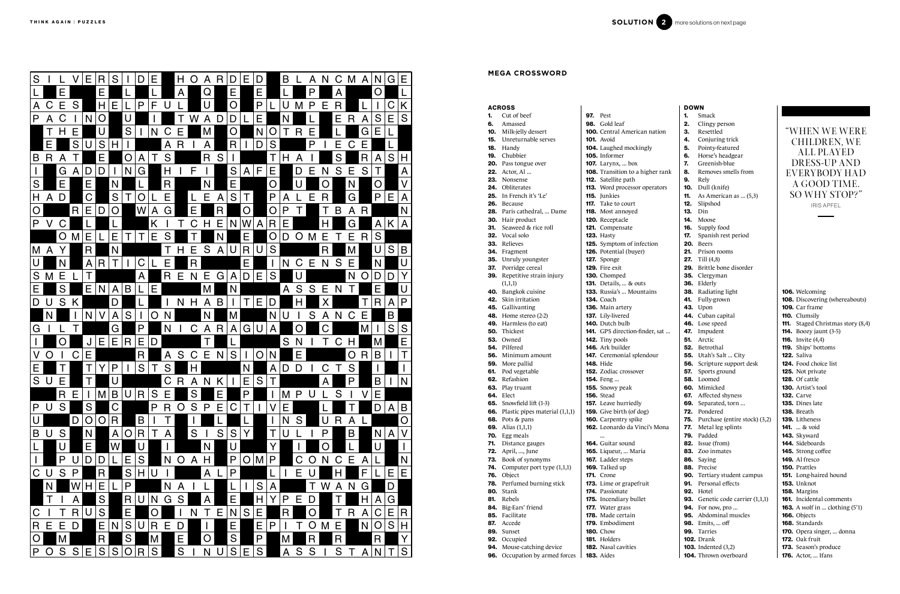|     | <b>ACROSS</b>                                           |                                     |                                                     |
|-----|---------------------------------------------------------|-------------------------------------|-----------------------------------------------------|
|     | <b>1.</b> Cut of beef                                   |                                     | <b>97.</b> Pest                                     |
| 6.  | Amassed                                                 |                                     | 98. Gold leaf                                       |
|     | 10. Milk-jelly dessert                                  | <b>100.</b> Central American nation |                                                     |
|     | <b>15.</b> Unreturnable serves                          |                                     | <b>101.</b> Avoid                                   |
|     | <b>18.</b> Handy                                        |                                     | 104. Laughed mockingly                              |
|     | 19. Chubbier                                            |                                     | <b>105.</b> Informer                                |
|     | 20. Pass tongue over                                    |                                     | <b>107.</b> Larynx,  box                            |
|     | 22. Actor, Al                                           |                                     | 108. Transition to a higher rank                    |
|     | 23. Nonsense                                            |                                     | 112. Satellite path                                 |
|     | <b>24.</b> Obliterates                                  |                                     | <b>113.</b> Word processor operators                |
|     | <b>25.</b> In French it's 'Le'                          |                                     | 115. Junkies                                        |
|     | 26. Because                                             |                                     | 117. Take to court                                  |
|     | 28. Paris cathedral,  Dame                              |                                     | 118. Most annoyed                                   |
|     | 30. Hair product                                        |                                     | 120. Receptacle                                     |
|     | <b>31.</b> Seaweed & rice roll<br><b>32.</b> Vocal solo |                                     | 121. Compensate                                     |
|     | 33. Relieves                                            |                                     | <b>123. Hasty</b>                                   |
|     |                                                         |                                     | 125. Symptom of infection<br>126. Potential (buyer) |
|     | 34. Fragment                                            |                                     | 127. Sponge                                         |
| 37. | 35. Unruly youngster<br>Porridge cereal                 |                                     | <b>129.</b> Fire exit                               |
| 39. | Repetitive strain injury                                |                                     | 130. Chomped                                        |
|     | (1,1,1)                                                 |                                     | <b>131.</b> Details,  & outs                        |
|     | 40. Bangkok cuisine                                     |                                     | <b>133.</b> Russia's  Mountains                     |
|     | 42. Skin irritation                                     |                                     | <b>134.</b> Coach                                   |
|     | 45. Gallivanting                                        |                                     | 136. Main artery                                    |
|     | <b>48.</b> Home stereo (2-2)                            |                                     | 137. Lily-livered                                   |
|     | 49. Harmless (to eat)                                   |                                     | <b>140.</b> Dutch bulb                              |
|     | <b>50.</b> Thickest                                     |                                     | 141. GPS direction-finder, sat                      |
|     | <b>53.</b> Owned                                        |                                     | <b>142.</b> Tiny pools                              |
|     | 54. Pilfered                                            |                                     | 146. Ark builder                                    |
|     | 56. Minimum amount                                      |                                     | 147. Ceremonial splendour                           |
|     | 59. More pallid                                         |                                     | <b>148.</b> Hide                                    |
|     | 61. Pod vegetable                                       |                                     | 152. Zodiac crossover                               |
|     | 62. Refashion                                           |                                     | 154. Feng                                           |
|     | 63. Play truant                                         |                                     | 155. Snowy peak                                     |
|     | <b>64.</b> Elect                                        |                                     | <b>156.</b> Stead                                   |
|     | <b>65.</b> Snowfield lift (1-3)                         |                                     | <b>157.</b> Leave hurriedly                         |
| 66. | Plastic pipes material (1,1,1)                          |                                     | 159. Give birth (of dog)                            |
| 68. | Pots & pans                                             |                                     | 160. Carpentry spike                                |
| 69. | Alias (1,1,1)                                           |                                     | 162. Leonardo da Vinci's Mona                       |
| 70. | Egg meals                                               |                                     |                                                     |
| 71. | Distance gauges                                         |                                     | <b>164.</b> Guitar sound                            |
| 72. | April, , June                                           |                                     | 165. Liqueur,  Maria                                |
| 73. | Book of synonyms                                        |                                     | 167. Ladder steps                                   |
| 74. | Computer port type (1,1,1)                              |                                     | 169. Talked up                                      |
| 76. | Object                                                  |                                     | <b>171.</b> Crone                                   |
| 78. | Perfumed burning stick                                  |                                     | 173. Lime or grapefruit                             |
| 80. | Stank                                                   |                                     | 174. Passionate                                     |
| 81. | Rebels                                                  |                                     | 175. Incendiary bullet                              |
| 84. | Big-Ears' friend                                        |                                     | 177. Water grass                                    |
| 85. | Facilitate                                              |                                     | 178. Made certain                                   |
| 87. | Accede                                                  |                                     | 179. Embodiment                                     |
| 89. | Sunset                                                  |                                     | <b>180.</b> Chow                                    |
| 92. | Occupied                                                |                                     | <b>181.</b> Holders                                 |
| 94. | Mouse-catching device                                   |                                     | 182. Nasal cavities                                 |
| 96. | Occupation by armed forces                              |                                     | <b>183.</b> Aides                                   |



|                 | <b>DOWN</b>    |                                         |
|-----------------|----------------|-----------------------------------------|
|                 | 1.             | Smack                                   |
|                 |                | 2. Clingy person                        |
| erican nation   |                | 3. Resettled                            |
|                 |                | 4. Conjuring trick                      |
| ockingly        | 5.             | Pointy-featured                         |
|                 | 6.             | Horse's headgear                        |
| ЮX              | 7.             | Greenish-blue                           |
| o a higher rank | 8.             | Removes smells from                     |
| h               | 9.             | Rely                                    |
| ssor operators  |                | 10. Dull (knife)                        |
|                 | 11.            | As American as  (5,3)                   |
| rt              |                | <b>12.</b> Slipshod                     |
| ed              | <b>13.</b> Din |                                         |
|                 |                | <b>14.</b> Moose                        |
| ĉ               |                | 16. Supply food                         |
|                 |                | <b>17.</b> Spanish rest period          |
| f infection     | 20.            | <b>Beers</b>                            |
| uyer)           | 21.            | Prison rooms                            |
|                 |                | <b>27.</b> Till $(4,8)$                 |
|                 |                | 29. Brittle bone disorder               |
|                 |                | <b>35.</b> Clergyman                    |
| 'z outs         |                | 36. Elderly                             |
| Aountains       |                | 38. Radiating light                     |
|                 |                | 41. Fully-grown                         |
| Ī               |                | <b>43.</b> Upon                         |
|                 |                | 44. Cuban capital<br>46. Lose speed     |
| on-finder, sat  |                | 47. Impudent                            |
|                 |                | 51. Arctic                              |
|                 |                | <b>52.</b> Betrothal                    |
| splendour       |                | <b>55.</b> Utah's Salt  City            |
|                 |                | 56. Scripture support desk              |
| sover           |                | 57. Sports ground                       |
|                 |                | 58. Loomed                              |
| Č               |                | 60. Mimicked                            |
|                 |                | 67. Affected shyness                    |
| edly            |                | 69. Separated, torn                     |
| of dog)         |                | 72. Pondered                            |
| pike            |                | 75. Purchase (entire stock) (3,2)       |
| a Vinci's Mona  |                | <b>77.</b> Metal leg splints            |
|                 | 79.            | Padded                                  |
| ıd              |                | 82. Issue (from)                        |
| Maria           |                | 83. Zoo inmates                         |
| S               |                | 86. Saying                              |
|                 |                | 88. Precise                             |
|                 |                | 90. Tertiary student campus             |
| pefruit         |                | 91. Personal effects                    |
|                 |                | <b>92.</b> Hotel                        |
| bullet          |                | <b>93.</b> Genetic code carrier (1,1,1) |
|                 |                | <b>94.</b> For now, pro                 |
| in              |                | 95. Abdominal muscles                   |
| ıt              |                | 98. Emits,  off                         |
|                 |                | 99. Tarries                             |
|                 |                | <b>102.</b> Drank                       |
| es              |                | <b>103.</b> Indented (3,2)              |
|                 |                | 104. Thrown overboard                   |

106. Welcoming 108. Discovering (whereabouts) 109. Car frame 110. Clumsily 111. Staged Christmas story (8,4) **114.** Boozy jaunt (3-5) **116.** Invite (4,4) 119. Ships' bottoms 122. Saliva 124. Food choice list 125. Not private 128. Of cattle 130. Artist's tool **132.** Carve 135. Dines late **138.** Breath 139. Litheness 141. ... & void 143. Skyward 144. Sideboards 145. Strong coffee 149. Al fresco 150. Prattles 151. Long-haired hound **153.** Unknot 158. Margins 161. Incidental comments 163. A wolf in ... clothing (5'1) 166. Objects 168. Standards 170. Opera singer, ... donna 172. Oak fruit 173. Season's produce

## <sup>P</sup> 176. Actor, ... Ifans ORCCILBUPSEVIGDESUMPOHSIBPALS OEITNUUUUOINUMAVARETACI SMETISPUSSRETIOLSSENYOCDEGAHCEEL SDRAWPUDECTIKLMRATSEISV EUHDENOSITTEJNETARELECEDUNE SRESSERDOMYEVNRLDDESUOHER SNLLWARCBUPEGADATNELOSNIHES OSSERPSEOUIRSBITTNOISULLI RUUHSURBRSREPILLACTWOLGAIPD SMRONUTIPSTDOELEKALTNIFLE EGNINIATRECSANNIRETSIGERHSACU SEDISAOORSINEHTIRETLAH INIASISSAHCCHNRETCELFIWO NOITALAHNIPNETANAMESHENIRAMAUQA UELSLEEKNRBGANERASDR SSENELPPUSCISLAMINAUNSESIRODOED ESIOYLTPENIGTDEREWOTAILE SPEEHSMISOUEEUAFDNEPED PYALPYTIVITANANDSISOROPOETSOL AMIRPIUNEMDSUANDEPAHTNULB STEECILSPDENOIHSUCOTLUDARML SROODTUOIUIISSEMEEIPELPPA IMWNOPULLACTCAXENREHTRONIEN SRETTAHCRSTCNNSTBSSELERAC TRNELBATIPSOHCTNEMEGAGNECRM ANAHGFALVRMETORRSREGALA NROCALLUNDEBIBMIREDNUSAPOTAESION TSEGDEAAIISBADSKESLLECG SYHRENIVOBNITESPUYUBANAVAHSKLE

## **MEGA CROSSWORD**

## "WHEN WE WERE CHILDREN, WE ALL PLAYED DRESS-UP AND EVERYBODY HAD A GOOD TIME. SO WHY STOP?"

IRIS APFEL